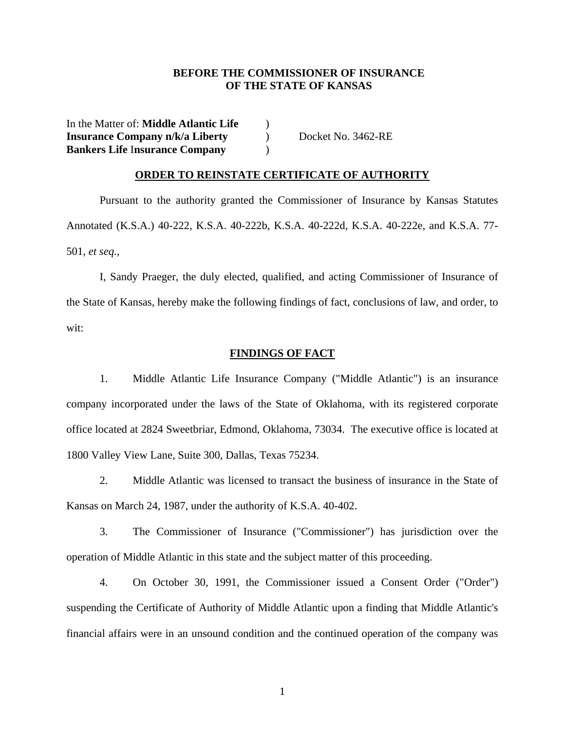## **BEFORE THE COMMISSIONER OF INSURANCE OF THE STATE OF KANSAS**

In the Matter of: **Middle Atlantic Life** ) **Insurance Company n/k/a Liberty**  $\qquad$  Docket No. 3462-RE **Bankers Life** I**nsurance Company** )

## **ORDER TO REINSTATE CERTIFICATE OF AUTHORITY**

Pursuant to the authority granted the Commissioner of Insurance by Kansas Statutes Annotated (K.S.A.) 40-222, K.S.A. 40-222b, K.S.A. 40-222d, K.S.A. 40-222e, and K.S.A. 77- 501, *et seq.,*

 I, Sandy Praeger, the duly elected, qualified, and acting Commissioner of Insurance of the State of Kansas, hereby make the following findings of fact, conclusions of law, and order, to wit:

## **FINDINGS OF FACT**

 1. Middle Atlantic Life Insurance Company ("Middle Atlantic") is an insurance company incorporated under the laws of the State of Oklahoma, with its registered corporate office located at 2824 Sweetbriar, Edmond, Oklahoma, 73034. The executive office is located at 1800 Valley View Lane, Suite 300, Dallas, Texas 75234.

 2. Middle Atlantic was licensed to transact the business of insurance in the State of Kansas on March 24, 1987, under the authority of K.S.A. 40-402.

 3. The Commissioner of Insurance ("Commissioner") has jurisdiction over the operation of Middle Atlantic in this state and the subject matter of this proceeding.

 4. On October 30, 1991, the Commissioner issued a Consent Order ("Order") suspending the Certificate of Authority of Middle Atlantic upon a finding that Middle Atlantic's financial affairs were in an unsound condition and the continued operation of the company was

1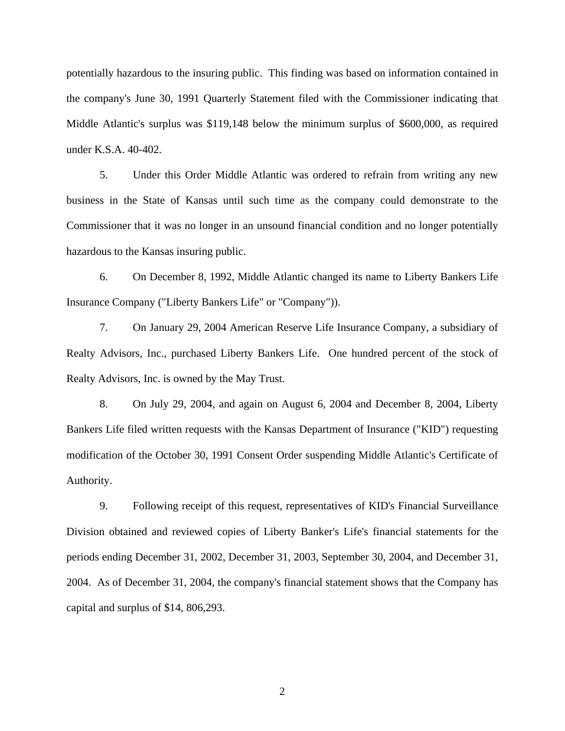potentially hazardous to the insuring public. This finding was based on information contained in the company's June 30, 1991 Quarterly Statement filed with the Commissioner indicating that Middle Atlantic's surplus was \$119,148 below the minimum surplus of \$600,000, as required under K.S.A. 40-402.

 5. Under this Order Middle Atlantic was ordered to refrain from writing any new business in the State of Kansas until such time as the company could demonstrate to the Commissioner that it was no longer in an unsound financial condition and no longer potentially hazardous to the Kansas insuring public.

 6. On December 8, 1992, Middle Atlantic changed its name to Liberty Bankers Life Insurance Company ("Liberty Bankers Life" or "Company")).

 7. On January 29, 2004 American Reserve Life Insurance Company, a subsidiary of Realty Advisors, Inc., purchased Liberty Bankers Life. One hundred percent of the stock of Realty Advisors, Inc. is owned by the May Trust.

 8. On July 29, 2004, and again on August 6, 2004 and December 8, 2004, Liberty Bankers Life filed written requests with the Kansas Department of Insurance ("KID") requesting modification of the October 30, 1991 Consent Order suspending Middle Atlantic's Certificate of Authority.

 9. Following receipt of this request, representatives of KID's Financial Surveillance Division obtained and reviewed copies of Liberty Banker's Life's financial statements for the periods ending December 31, 2002, December 31, 2003, September 30, 2004, and December 31, 2004. As of December 31, 2004, the company's financial statement shows that the Company has capital and surplus of \$14, 806,293.

2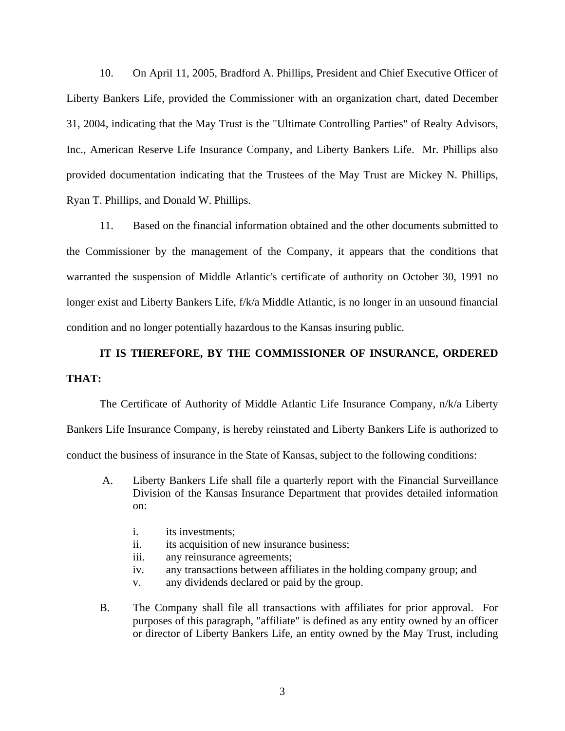10. On April 11, 2005, Bradford A. Phillips, President and Chief Executive Officer of Liberty Bankers Life, provided the Commissioner with an organization chart, dated December 31, 2004, indicating that the May Trust is the "Ultimate Controlling Parties" of Realty Advisors, Inc., American Reserve Life Insurance Company, and Liberty Bankers Life. Mr. Phillips also provided documentation indicating that the Trustees of the May Trust are Mickey N. Phillips, Ryan T. Phillips, and Donald W. Phillips.

 11. Based on the financial information obtained and the other documents submitted to the Commissioner by the management of the Company, it appears that the conditions that warranted the suspension of Middle Atlantic's certificate of authority on October 30, 1991 no longer exist and Liberty Bankers Life, f/k/a Middle Atlantic, is no longer in an unsound financial condition and no longer potentially hazardous to the Kansas insuring public.

## **IT IS THEREFORE, BY THE COMMISSIONER OF INSURANCE, ORDERED THAT:**

The Certificate of Authority of Middle Atlantic Life Insurance Company, n/k/a Liberty Bankers Life Insurance Company, is hereby reinstated and Liberty Bankers Life is authorized to conduct the business of insurance in the State of Kansas, subject to the following conditions:

- A. Liberty Bankers Life shall file a quarterly report with the Financial Surveillance Division of the Kansas Insurance Department that provides detailed information on:
	- i. its investments;
	- ii. its acquisition of new insurance business;
	- iii. any reinsurance agreements;
	- iv. any transactions between affiliates in the holding company group; and
	- v. any dividends declared or paid by the group.
- B. The Company shall file all transactions with affiliates for prior approval. For purposes of this paragraph, "affiliate" is defined as any entity owned by an officer or director of Liberty Bankers Life, an entity owned by the May Trust, including